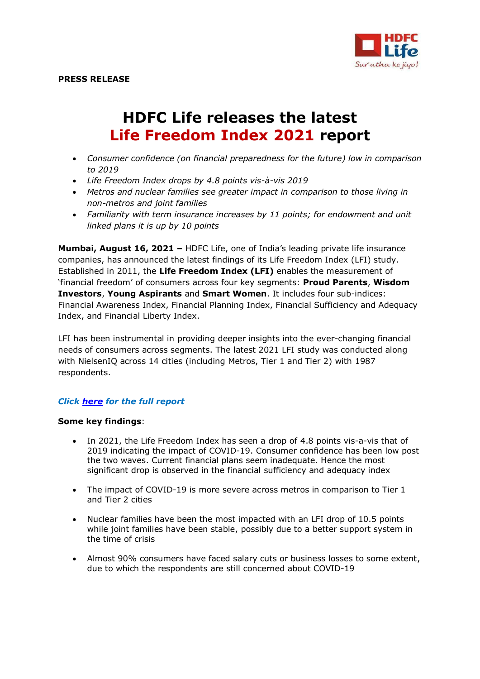

# **HDFC Life releases the latest Life Freedom Index 2021 report**

- *Consumer confidence (on financial preparedness for the future) low in comparison to 2019*
- *Life Freedom Index drops by 4.8 points vis-à-vis 2019*
- *Metros and nuclear families see greater impact in comparison to those living in non-metros and joint families*
- *Familiarity with term insurance increases by 11 points; for endowment and unit linked plans it is up by 10 points*

**Mumbai, August 16, 2021 –** HDFC Life, one of India's leading private life insurance companies, has announced the latest findings of its Life Freedom Index (LFI) study. Established in 2011, the **Life Freedom Index (LFI)** enables the measurement of 'financial freedom' of consumers across four key segments: **Proud Parents**, **Wisdom Investors**, **Young Aspirants** and **Smart Women**. It includes four sub-indices: Financial Awareness Index, Financial Planning Index, Financial Sufficiency and Adequacy Index, and Financial Liberty Index.

LFI has been instrumental in providing deeper insights into the ever-changing financial needs of consumers across segments. The latest 2021 LFI study was conducted along with NielsenIQ across 14 cities (including Metros, Tier 1 and Tier 2) with 1987 respondents.

## *Click [here](https://brandsite-static.hdfclife.com/media/documents/apps/Life%20Freedom%20Index%20Report%202021.pdf) for the full report*

#### **Some key findings**:

- In 2021, the Life Freedom Index has seen a drop of 4.8 points vis-a-vis that of 2019 indicating the impact of COVID-19. Consumer confidence has been low post the two waves. Current financial plans seem inadequate. Hence the most significant drop is observed in the financial sufficiency and adequacy index
- The impact of COVID-19 is more severe across metros in comparison to Tier 1 and Tier 2 cities
- Nuclear families have been the most impacted with an LFI drop of 10.5 points while joint families have been stable, possibly due to a better support system in the time of crisis
- Almost 90% consumers have faced salary cuts or business losses to some extent, due to which the respondents are still concerned about COVID-19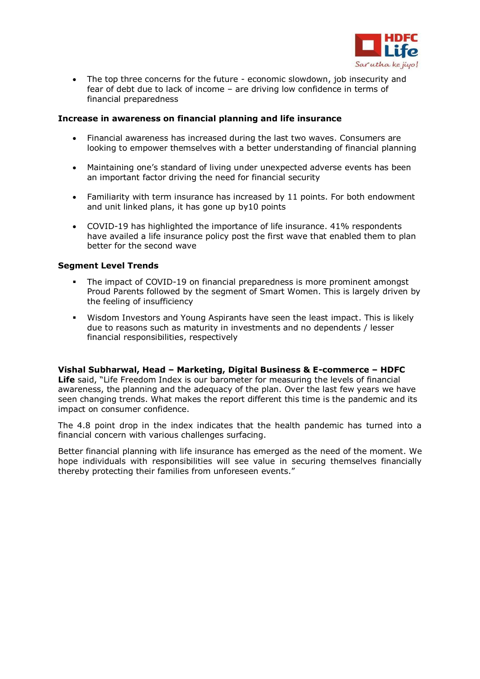

 The top three concerns for the future - economic slowdown, job insecurity and fear of debt due to lack of income – are driving low confidence in terms of financial preparedness

#### **Increase in awareness on financial planning and life insurance**

- Financial awareness has increased during the last two waves. Consumers are looking to empower themselves with a better understanding of financial planning
- Maintaining one's standard of living under unexpected adverse events has been an important factor driving the need for financial security
- Familiarity with term insurance has increased by 11 points. For both endowment and unit linked plans, it has gone up by10 points
- COVID-19 has highlighted the importance of life insurance. 41% respondents have availed a life insurance policy post the first wave that enabled them to plan better for the second wave

### **Segment Level Trends**

- The impact of COVID-19 on financial preparedness is more prominent amongst Proud Parents followed by the segment of Smart Women. This is largely driven by the feeling of insufficiency
- Wisdom Investors and Young Aspirants have seen the least impact. This is likely due to reasons such as maturity in investments and no dependents / lesser financial responsibilities, respectively

### **Vishal Subharwal, Head – Marketing, Digital Business & E-commerce – HDFC**

**Life** said, "Life Freedom Index is our barometer for measuring the levels of financial awareness, the planning and the adequacy of the plan. Over the last few years we have seen changing trends. What makes the report different this time is the pandemic and its impact on consumer confidence.

The 4.8 point drop in the index indicates that the health pandemic has turned into a financial concern with various challenges surfacing.

Better financial planning with life insurance has emerged as the need of the moment. We hope individuals with responsibilities will see value in securing themselves financially thereby protecting their families from unforeseen events."